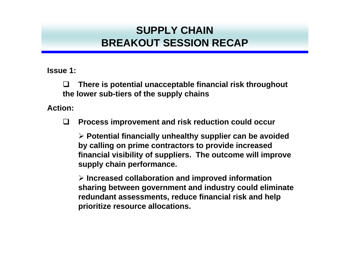**Issue 1:**

 $\Box$  **There is potential unacceptable financial risk throughout the lower sub-tiers of the supply chains**

**Action:**

 $\Box$ **Process improvement and risk reduction could occur**

¾ **Potential financially unhealthy supplier can be avoided by calling on prime contractors to provide increased financial visibility of suppliers. The outcome will improve supply chain performance.**

¾ **Increased collaboration and improved information sharing between government and industry could eliminate redundant assessments, reduce financial risk and help prioritize resource allocations.**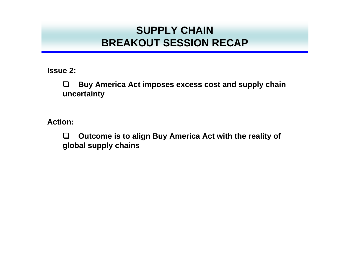**Issue 2:**

 $\Box$  **Buy America Act imposes excess cost and supply chain uncertainty**

**Action:**

 $\Box$  **Outcome is to align Buy America Act with the reality of global supply chains**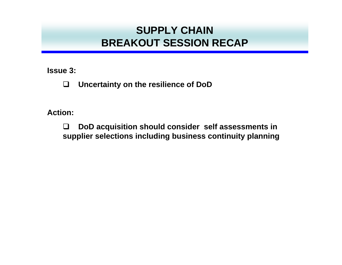**Issue 3:**

 $\Box$ **Uncertainty on the resilience of DoD**

**Action:**

 $\Box$  **DoD acquisition should consider self assessments in supplier selections including business continuity planning**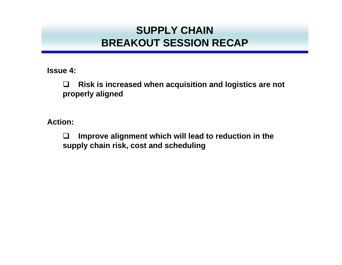**Issue 4:**

 $\Box$  **Risk is increased when acquisition and logistics are not properly aligned**

**Action:**

 $\Box$  **Improve alignment which will lead to reduction in the supply chain risk, cost and scheduling**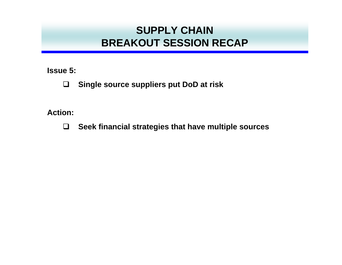**Issue 5:**

 $\Box$ **Single source suppliers put DoD at risk**

**Action:**

**Seek financial strategies that have multiple sources**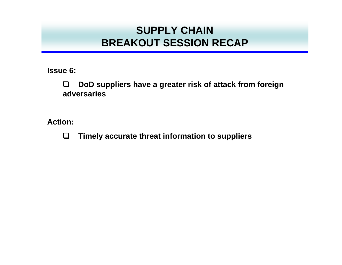**Issue 6:**

 $\Box$  **DoD suppliers have a greater risk of attack from foreign adversaries**

**Action:**

 $\Box$ **Timely accurate threat information to suppliers**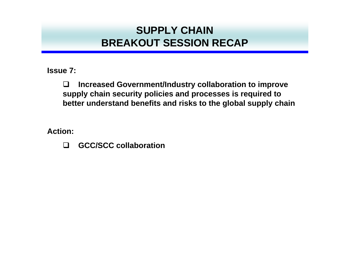**Issue 7:**

 $\Box$  **Increased Government/Industry collaboration to improve supply chain security policies and processes is required to better understand benefits and risks to the global supply chain**

**Action:**

 $\Box$ **GCC/SCC collaboration**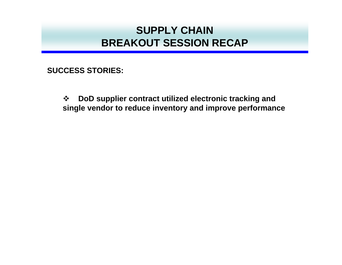**SUCCESS STORIES:**

 $\frac{1}{2}$  **DoD supplier contract utilized electronic tracking and single vendor to reduce inventory and improve performance**